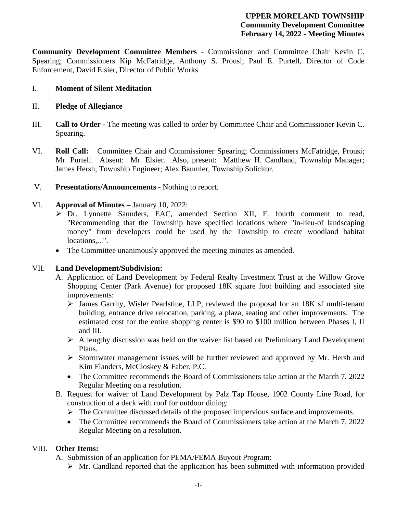#### **UPPER MORELAND TOWNSHIP Community Development Committee February 14, 2022 - Meeting Minutes**

**Community Development Committee Members** - Commissioner and Committee Chair Kevin C. Spearing; Commissioners Kip McFatridge, Anthony S. Prousi; Paul E. Purtell, Director of Code Enforcement, David Elsier, Director of Public Works

### I. **Moment of Silent Meditation**

### II. **Pledge of Allegiance**

- III. **Call to Order -** The meeting was called to order by Committee Chair and Commissioner Kevin C. Spearing.
- VI. **Roll Call:** Committee Chair and Commissioner Spearing; Commissioners McFatridge, Prousi; Mr. Purtell. Absent: Mr. Elsier. Also, present: Matthew H. Candland, Township Manager; James Hersh, Township Engineer; Alex Baumler, Township Solicitor.
- V. **Presentations/Announcements** Nothing to report.

## VI. **Approval of Minutes –** January 10, 2022:

- Dr. Lynnette Saunders, EAC, amended Section XII, F. fourth comment to read, "Recommending that the Township have specified locations where "in-lieu-of landscaping money" from developers could be used by the Township to create woodland habitat locations....".
- The Committee unanimously approved the meeting minutes as amended.

### VII. **Land Development/Subdivision:**

- A. Application of Land Development by Federal Realty Investment Trust at the Willow Grove Shopping Center (Park Avenue) for proposed 18K square foot building and associated site improvements:
	- James Garrity, Wisler Pearlstine, LLP, reviewed the proposal for an 18K sf multi-tenant building, entrance drive relocation, parking, a plaza, seating and other improvements. The estimated cost for the entire shopping center is \$90 to \$100 million between Phases I, II and III.
	- $\triangleright$  A lengthy discussion was held on the waiver list based on Preliminary Land Development Plans.
	- $\triangleright$  Stormwater management issues will be further reviewed and approved by Mr. Hersh and Kim Flanders, McCloskey & Faber, P.C.
	- The Committee recommends the Board of Commissioners take action at the March 7, 2022 Regular Meeting on a resolution.
- B. Request for waiver of Land Development by Palz Tap House, 1902 County Line Road, for construction of a deck with roof for outdoor dining:
	- The Committee discussed details of the proposed impervious surface and improvements.
	- The Committee recommends the Board of Commissioners take action at the March 7, 2022 Regular Meeting on a resolution.

# VIII. **Other Items:**

A. Submission of an application for PEMA/FEMA Buyout Program:

 $\triangleright$  Mr. Candland reported that the application has been submitted with information provided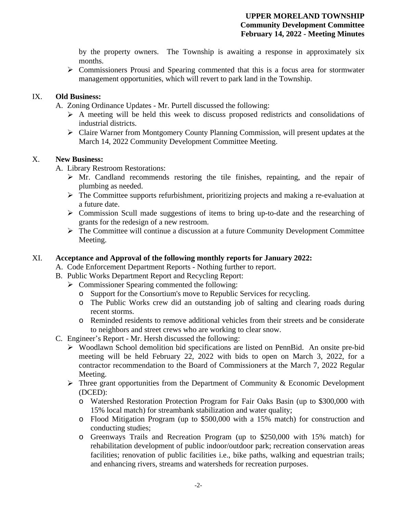by the property owners. The Township is awaiting a response in approximately six months.

 $\triangleright$  Commissioners Prousi and Spearing commented that this is a focus area for stormwater management opportunities, which will revert to park land in the Township.

### IX. **Old Business:**

A. Zoning Ordinance Updates - Mr. Purtell discussed the following:

- $\triangleright$  A meeting will be held this week to discuss proposed redistricts and consolidations of industrial districts.
- $\triangleright$  Claire Warner from Montgomery County Planning Commission, will present updates at the March 14, 2022 Community Development Committee Meeting.

## X. **New Business:**

A. Library Restroom Restorations:

- $\triangleright$  Mr. Candland recommends restoring the tile finishes, repainting, and the repair of plumbing as needed.
- $\triangleright$  The Committee supports refurbishment, prioritizing projects and making a re-evaluation at a future date.
- $\triangleright$  Commission Scull made suggestions of items to bring up-to-date and the researching of grants for the redesign of a new restroom.
- The Committee will continue a discussion at a future Community Development Committee Meeting.

## XI. **Acceptance and Approval of the following monthly reports for January 2022:**

- A. Code Enforcement Department Reports Nothing further to report.
- B. Public Works Department Report and Recycling Report:
	- $\triangleright$  Commissioner Spearing commented the following:
		- o Support for the Consortium's move to Republic Services for recycling.
		- o The Public Works crew did an outstanding job of salting and clearing roads during recent storms.
		- o Reminded residents to remove additional vehicles from their streets and be considerate to neighbors and street crews who are working to clear snow.
- C. Engineer's Report Mr. Hersh discussed the following:
	- Woodlawn School demolition bid specifications are listed on PennBid. An onsite pre-bid meeting will be held February 22, 2022 with bids to open on March 3, 2022, for a contractor recommendation to the Board of Commissioners at the March 7, 2022 Regular Meeting.
	- $\triangleright$  Three grant opportunities from the Department of Community & Economic Development (DCED):
		- o Watershed Restoration Protection Program for Fair Oaks Basin (up to \$300,000 with 15% local match) for streambank stabilization and water quality;
		- o Flood Mitigation Program (up to \$500,000 with a 15% match) for construction and conducting studies;
		- o Greenways Trails and Recreation Program (up to \$250,000 with 15% match) for rehabilitation development of public indoor/outdoor park; recreation conservation areas facilities; renovation of public facilities i.e., bike paths, walking and equestrian trails; and enhancing rivers, streams and watersheds for recreation purposes.